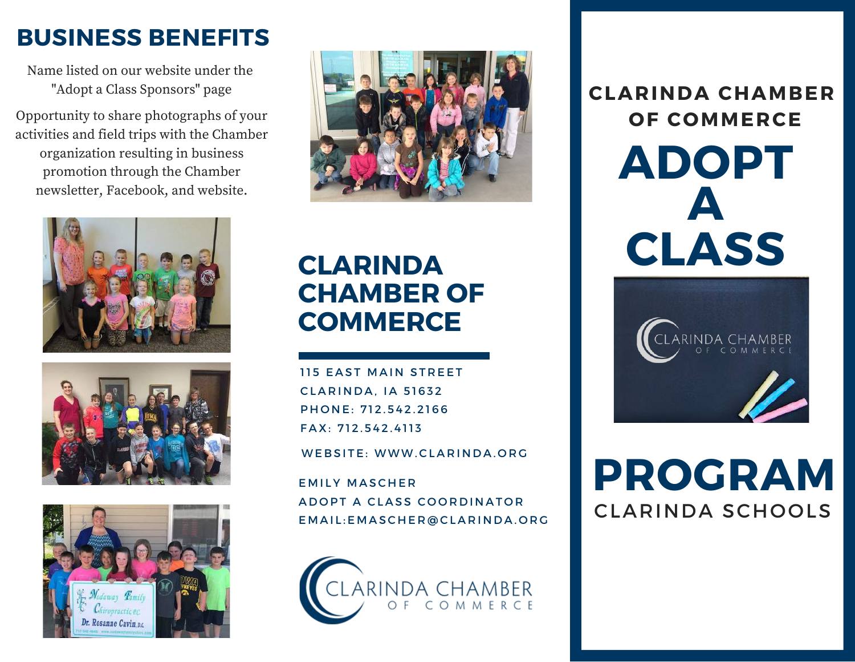### **BUSINESS BENEFITS**

Name listed on our website under the "Adopt a Class Sponsors" page

Opportunity to share photographs of your activities and field trips with the Chamber organization resulting in business promotion through the Chamber newsletter, Facebook, and website.









### **CLARINDA CHAMBER OF COMMERCE**

115 EAST MAIN STREET **CLARINDA. 1A 51632** PHONE: 712.542.2166 F A X: 7 1 2 . 5 4 2 . 4 11 3

WEBSITE: WWW.CLARINDA.ORG

**EMILY MASCHER** A D O P T A CLASS COORD IN A TOR E M A I L : E M A SC H E R @ CL A R I N D A . O R G



**ADOPT CLASS CLARINDA CHAMBER OF COMMERCE A**



# CLARINDA SCHOOLS **PROGRAM**